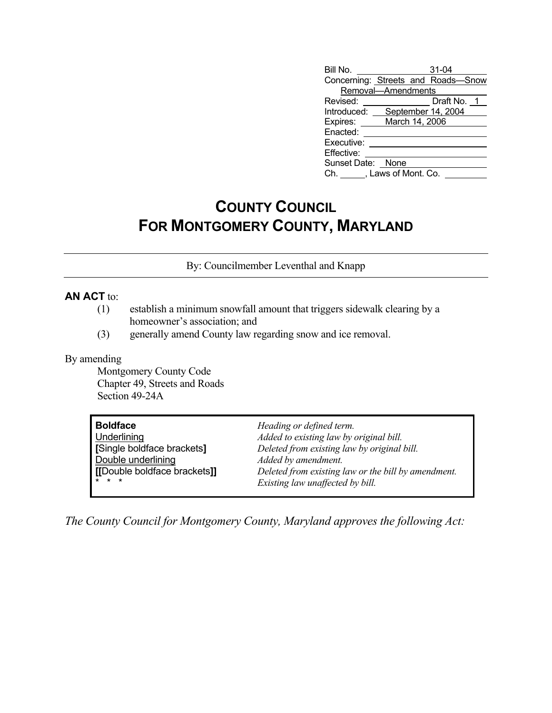| Bill No.                | $31 - 04$                          |
|-------------------------|------------------------------------|
|                         | Concerning: Streets and Roads-Snow |
| Removal-Amendments      |                                    |
| Revised:                | Draft No. 1                        |
| Introduced:             | September 14, 2004                 |
| Expires:                | March 14, 2006                     |
| Enacted:                |                                    |
| Executive:              |                                    |
| Effective:              |                                    |
| Sunset Date: None       |                                    |
| Ch. , Laws of Mont. Co. |                                    |

## **COUNTY COUNCIL FOR MONTGOMERY COUNTY, MARYLAND**

By: Councilmember Leventhal and Knapp

## **AN ACT** to:

- (1) establish a minimum snowfall amount that triggers sidewalk clearing by a homeowner's association; and
- (3) generally amend County law regarding snow and ice removal.

## By amending

 Montgomery County Code Chapter 49, Streets and Roads Section 49-24A

| <b>Boldface</b>              | Heading or defined term.                            |
|------------------------------|-----------------------------------------------------|
| <b>Underlining</b>           | Added to existing law by original bill.             |
| Single boldface brackets]    | Deleted from existing law by original bill.         |
| Double underlining           | Added by amendment.                                 |
| [[Double boldface brackets]] | Deleted from existing law or the bill by amendment. |
| $\mathbf{r}$                 | Existing law unaffected by bill.                    |

*The County Council for Montgomery County, Maryland approves the following Act:*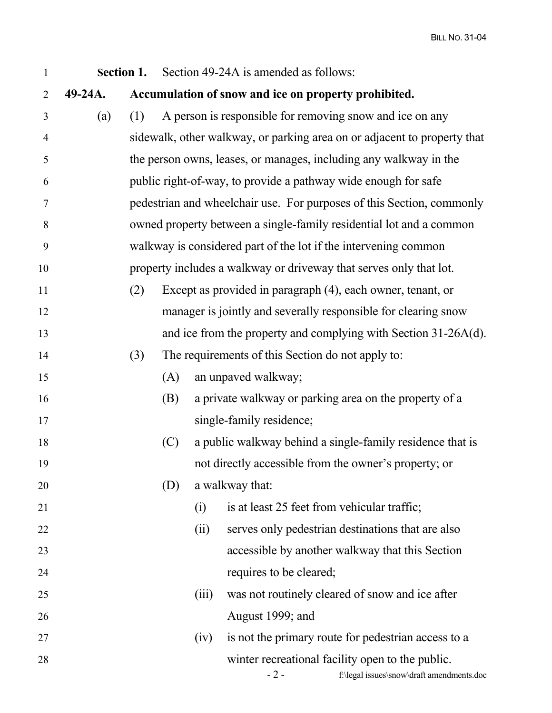| $\mathbf{1}$   | Section 1. |     |     |       | Section 49-24A is amended as follows:                                                                  |
|----------------|------------|-----|-----|-------|--------------------------------------------------------------------------------------------------------|
| 2              | 49-24A.    |     |     |       | Accumulation of snow and ice on property prohibited.                                                   |
| 3              | (a)        | (1) |     |       | A person is responsible for removing snow and ice on any                                               |
| $\overline{4}$ |            |     |     |       | sidewalk, other walkway, or parking area on or adjacent to property that                               |
| 5              |            |     |     |       | the person owns, leases, or manages, including any walkway in the                                      |
| 6              |            |     |     |       | public right-of-way, to provide a pathway wide enough for safe                                         |
| $\tau$         |            |     |     |       | pedestrian and wheelchair use. For purposes of this Section, commonly                                  |
| $8\,$          |            |     |     |       | owned property between a single-family residential lot and a common                                    |
| 9              |            |     |     |       | walkway is considered part of the lot if the intervening common                                        |
| 10             |            |     |     |       | property includes a walkway or driveway that serves only that lot.                                     |
| 11             |            | (2) |     |       | Except as provided in paragraph (4), each owner, tenant, or                                            |
| 12             |            |     |     |       | manager is jointly and severally responsible for clearing snow                                         |
| 13             |            |     |     |       | and ice from the property and complying with Section 31-26A(d).                                        |
| 14             |            | (3) |     |       | The requirements of this Section do not apply to:                                                      |
| 15             |            |     | (A) |       | an unpaved walkway;                                                                                    |
| 16             |            |     | (B) |       | a private walkway or parking area on the property of a                                                 |
| 17             |            |     |     |       | single-family residence;                                                                               |
| 18             |            |     | (C) |       | a public walkway behind a single-family residence that is                                              |
| 19             |            |     |     |       | not directly accessible from the owner's property; or                                                  |
| 20             |            |     | (D) |       | a walkway that:                                                                                        |
| 21             |            |     |     | (i)   | is at least 25 feet from vehicular traffic;                                                            |
| 22             |            |     |     | (ii)  | serves only pedestrian destinations that are also                                                      |
| 23             |            |     |     |       | accessible by another walkway that this Section                                                        |
| 24             |            |     |     |       | requires to be cleared;                                                                                |
| 25             |            |     |     | (iii) | was not routinely cleared of snow and ice after                                                        |
| 26             |            |     |     |       | August 1999; and                                                                                       |
| 27             |            |     |     | (iv)  | is not the primary route for pedestrian access to a                                                    |
| 28             |            |     |     |       | winter recreational facility open to the public.<br>$-2-$<br>f:\legal issues\snow\draft amendments.doc |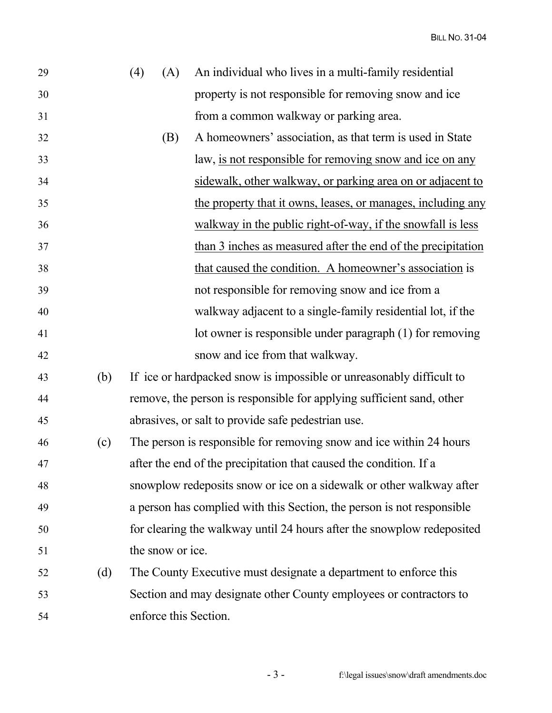BILL NO. 31-04

| 29 |     | (4) | (A)              | An individual who lives in a multi-family residential                  |
|----|-----|-----|------------------|------------------------------------------------------------------------|
| 30 |     |     |                  | property is not responsible for removing snow and ice                  |
| 31 |     |     |                  | from a common walkway or parking area.                                 |
| 32 |     |     | (B)              | A homeowners' association, as that term is used in State               |
| 33 |     |     |                  | law, is not responsible for removing snow and ice on any               |
| 34 |     |     |                  | sidewalk, other walkway, or parking area on or adjacent to             |
| 35 |     |     |                  | the property that it owns, leases, or manages, including any           |
| 36 |     |     |                  | walkway in the public right-of-way, if the snowfall is less            |
| 37 |     |     |                  | than 3 inches as measured after the end of the precipitation           |
| 38 |     |     |                  | that caused the condition. A homeowner's association is                |
| 39 |     |     |                  | not responsible for removing snow and ice from a                       |
| 40 |     |     |                  | walkway adjacent to a single-family residential lot, if the            |
| 41 |     |     |                  | lot owner is responsible under paragraph (1) for removing              |
| 42 |     |     |                  | snow and ice from that walkway.                                        |
| 43 | (b) |     |                  | If ice or hardpacked snow is impossible or unreasonably difficult to   |
| 44 |     |     |                  | remove, the person is responsible for applying sufficient sand, other  |
| 45 |     |     |                  | abrasives, or salt to provide safe pedestrian use.                     |
| 46 | (c) |     |                  | The person is responsible for removing snow and ice within 24 hours    |
| 47 |     |     |                  | after the end of the precipitation that caused the condition. If a     |
| 48 |     |     |                  | snowplow redeposits snow or ice on a sidewalk or other walkway after   |
| 49 |     |     |                  | a person has complied with this Section, the person is not responsible |
| 50 |     |     |                  | for clearing the walkway until 24 hours after the snowplow redeposited |
| 51 |     |     | the snow or ice. |                                                                        |
| 52 | (d) |     |                  | The County Executive must designate a department to enforce this       |
| 53 |     |     |                  | Section and may designate other County employees or contractors to     |
| 54 |     |     |                  | enforce this Section.                                                  |